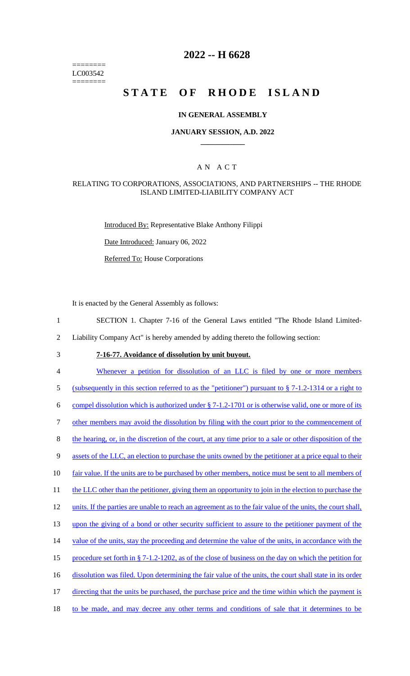======== LC003542 ========

## **2022 -- H 6628**

# **STATE OF RHODE ISLAND**

### **IN GENERAL ASSEMBLY**

### **JANUARY SESSION, A.D. 2022 \_\_\_\_\_\_\_\_\_\_\_\_**

### A N A C T

#### RELATING TO CORPORATIONS, ASSOCIATIONS, AND PARTNERSHIPS -- THE RHODE ISLAND LIMITED-LIABILITY COMPANY ACT

Introduced By: Representative Blake Anthony Filippi

Date Introduced: January 06, 2022

Referred To: House Corporations

It is enacted by the General Assembly as follows:

1 SECTION 1. Chapter 7-16 of the General Laws entitled "The Rhode Island Limited-

2 Liability Company Act" is hereby amended by adding thereto the following section:

# 3 **7-16-77. Avoidance of dissolution by unit buyout.**

4 Whenever a petition for dissolution of an LLC is filed by one or more members

5 (subsequently in this section referred to as the "petitioner") pursuant to § 7-1.2-1314 or a right to

6 compel dissolution which is authorized under  $\S 7-1.2-1701$  or is otherwise valid, one or more of its

7 other members may avoid the dissolution by filing with the court prior to the commencement of

8 the hearing, or, in the discretion of the court, at any time prior to a sale or other disposition of the

9 assets of the LLC, an election to purchase the units owned by the petitioner at a price equal to their

10 fair value. If the units are to be purchased by other members, notice must be sent to all members of

11 the LLC other than the petitioner, giving them an opportunity to join in the election to purchase the

12 units. If the parties are unable to reach an agreement as to the fair value of the units, the court shall,

13 upon the giving of a bond or other security sufficient to assure to the petitioner payment of the

14 value of the units, stay the proceeding and determine the value of the units, in accordance with the

15 procedure set forth in § 7-1.2-1202, as of the close of business on the day on which the petition for

- 16 dissolution was filed. Upon determining the fair value of the units, the court shall state in its order
- 17 directing that the units be purchased, the purchase price and the time within which the payment is
- 18 to be made, and may decree any other terms and conditions of sale that it determines to be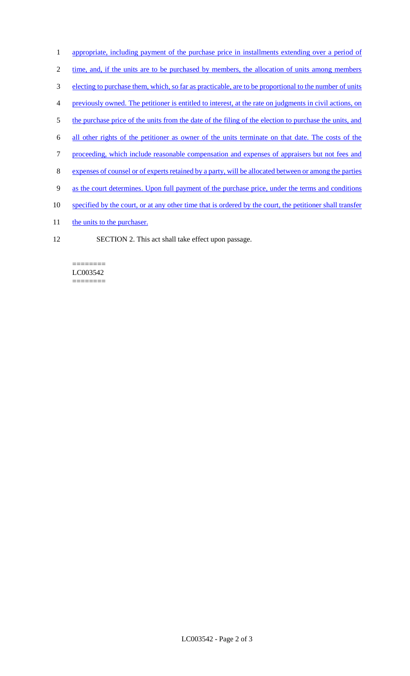- 1 appropriate, including payment of the purchase price in installments extending over a period of
- 2 time, and, if the units are to be purchased by members, the allocation of units among members
- 3 electing to purchase them, which, so far as practicable, are to be proportional to the number of units
- 4 previously owned. The petitioner is entitled to interest, at the rate on judgments in civil actions, on
- 5 the purchase price of the units from the date of the filing of the election to purchase the units, and
- 6 all other rights of the petitioner as owner of the units terminate on that date. The costs of the
- 7 proceeding, which include reasonable compensation and expenses of appraisers but not fees and
- 8 expenses of counsel or of experts retained by a party, will be allocated between or among the parties
- 9 as the court determines. Upon full payment of the purchase price, under the terms and conditions
- 10 specified by the court, or at any other time that is ordered by the court, the petitioner shall transfer
- 11 the units to the purchaser.
- 12 SECTION 2. This act shall take effect upon passage.

======== LC003542 ========